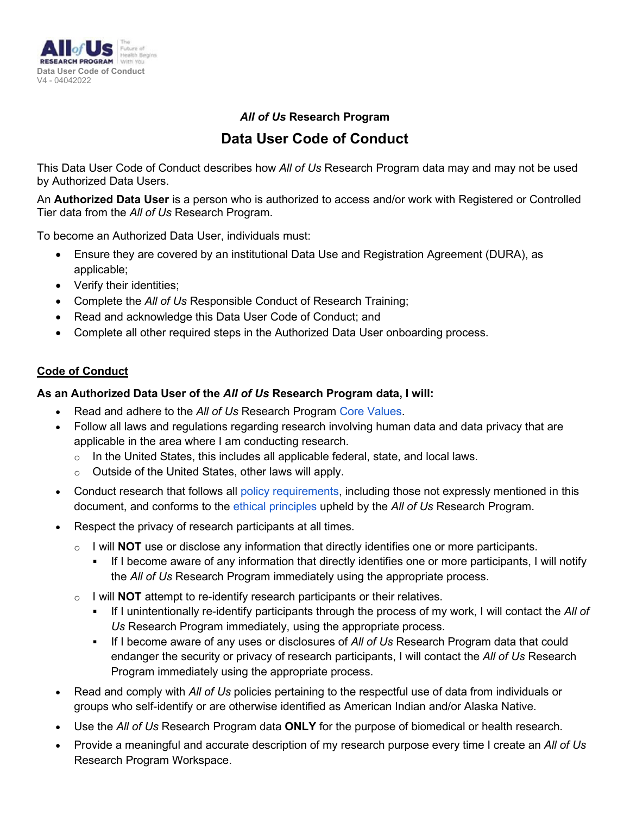

### *All of Us* **Research Program**

# **Data User Code of Conduct**

This Data User Code of Conduct describes how *All of Us* Research Program data may and may not be used by Authorized Data Users.

An **Authorized Data User** is a person who is authorized to access and/or work with Registered or Controlled Tier data from the *All of Us* Research Program.

To become an Authorized Data User, individuals must:

- Ensure they are covered by an institutional Data Use and Registration Agreement (DURA), as applicable;
- Verify their identities;
- Complete the *All of Us* Responsible Conduct of Research Training;
- Read and acknowledge this Data User Code of Conduct; and
- Complete all other required steps in the Authorized Data User onboarding process.

## **Code of Conduct**

#### **As an Authorized Data User of the** *All of Us* **Research Program data, I will:**

- Read and adhere to the *All of Us* Research Program [Core Values.](https://allofus.nih.gov/about/core-values)
- Follow all laws and regulations regarding research involving human data and data privacy that are applicable in the area where I am conducting research.
	- $\circ$  In the United States, this includes all applicable federal, state, and local laws.
	- o Outside of the United States, other laws will apply.
- Conduct research that follows all [policy requirements,](https://www.researchallofus.org/data-tools/data-access/) including those not expressly mentioned in this document, and conforms to the [ethical principles](https://www.researchallofus.org/wp-content/themes/research-hub-wordpress-theme/media/2020/05/AoU_Policy_Ethical_Principles_508.pdf) upheld by the *All of Us* Research Program.
- Respect the privacy of research participants at all times.
	- o I will **NOT** use or disclose any information that directly identifies one or more participants.
		- If I become aware of any information that directly identifies one or more participants, I will notify the *All of Us* Research Program immediately using the appropriate process.
	- o I will **NOT** attempt to re-identify research participants or their relatives.
		- If I unintentionally re-identify participants through the process of my work, I will contact the *All of Us* Research Program immediately, using the appropriate process.
		- If I become aware of any uses or disclosures of *All of Us* Research Program data that could endanger the security or privacy of research participants, I will contact the *All of Us* Research Program immediately using the appropriate process.
- Read and comply with *All of Us* policies pertaining to the respectful use of data from individuals or groups who self-identify or are otherwise identified as American Indian and/or Alaska Native.
- Use the *All of Us* Research Program data **ONLY** for the purpose of biomedical or health research.
- Provide a meaningful and accurate description of my research purpose every time I create an *All of Us* Research Program Workspace.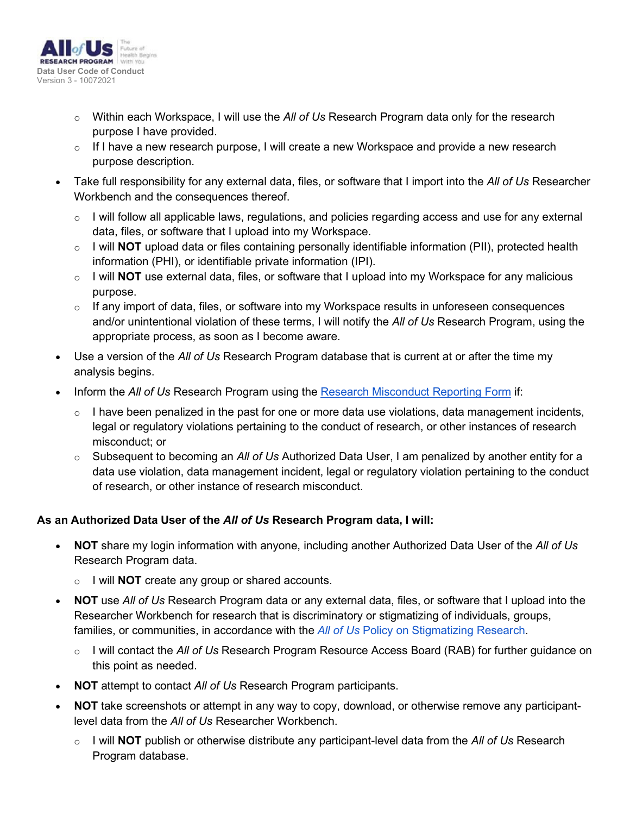

- o Within each Workspace, I will use the *All of Us* Research Program data only for the research purpose I have provided.
- $\circ$  If I have a new research purpose, I will create a new Workspace and provide a new research purpose description.
- Take full responsibility for any external data, files, or software that I import into the *All of Us* Researcher Workbench and the consequences thereof.
	- $\circ$  I will follow all applicable laws, regulations, and policies regarding access and use for any external data, files, or software that I upload into my Workspace.
	- o I will **NOT** upload data or files containing personally identifiable information (PII), protected health information (PHI), or identifiable private information (IPI).
	- o I will **NOT** use external data, files, or software that I upload into my Workspace for any malicious purpose.
	- $\circ$  If any import of data, files, or software into my Workspace results in unforeseen consequences and/or unintentional violation of these terms, I will notify the *All of Us* Research Program, using the appropriate process, as soon as I become aware.
- Use a version of the *All of Us* Research Program database that is current at or after the time my analysis begins.
- Inform the *All of Us* Research Program using the [Research Misconduct Reporting Form](https://redcap.pmi-ops.org/surveys/?s=4KMLH8K98DPEA8MM) if:
	- $\circ$  I have been penalized in the past for one or more data use violations, data management incidents, legal or regulatory violations pertaining to the conduct of research, or other instances of research misconduct; or
	- o Subsequent to becoming an *All of Us* Authorized Data User, I am penalized by another entity for a data use violation, data management incident, legal or regulatory violation pertaining to the conduct of research, or other instance of research misconduct.

#### **As an Authorized Data User of the** *All of Us* **Research Program data, I will:**

- **NOT** share my login information with anyone, including another Authorized Data User of the *All of Us* Research Program data.
	- o I will **NOT** create any group or shared accounts.
- **NOT** use *All of Us* Research Program data or any external data, files, or software that I upload into the Researcher Workbench for research that is discriminatory or stigmatizing of individuals, groups, families, or communities, in accordance with the *All of Us* [Policy on Stigmatizing Research.](https://www.researchallofus.org/wp-content/themes/research-hub-wordpress-theme/media/2020/05/AoU_Policy_Stigmatizing_Research_508.pdf)
	- o I will contact the *All of Us* Research Program Resource Access Board (RAB) for further guidance on this point as needed.
- **NOT** attempt to contact *All of Us* Research Program participants.
- **NOT** take screenshots or attempt in any way to copy, download, or otherwise remove any participantlevel data from the *All of Us* Researcher Workbench.
	- o I will **NOT** publish or otherwise distribute any participant-level data from the *All of Us* Research Program database.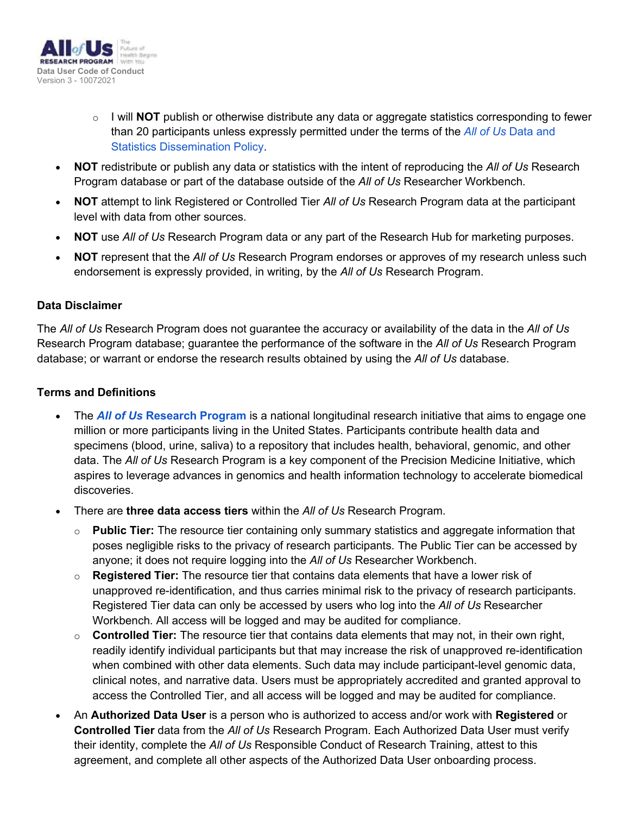

- o I will **NOT** publish or otherwise distribute any data or aggregate statistics corresponding to fewer than 20 participants unless expressly permitted under the terms of the *All of Us* [Data and](https://www.researchallofus.org/wp-content/themes/research-hub-wordpress-theme/media/2020/05/AoU_Policy_Data_and_Statistics_Dissemination_508.pdf) [Statistics Dissemination Policy.](https://www.researchallofus.org/wp-content/themes/research-hub-wordpress-theme/media/2020/05/AoU_Policy_Data_and_Statistics_Dissemination_508.pdf)
- **NOT** redistribute or publish any data or statistics with the intent of reproducing the *All of Us* Research Program database or part of the database outside of the *All of Us* Researcher Workbench.
- **NOT** attempt to link Registered or Controlled Tier *All of Us* Research Program data at the participant level with data from other sources.
- **NOT** use *All of Us* Research Program data or any part of the Research Hub for marketing purposes.
- **NOT** represent that the *All of Us* Research Program endorses or approves of my research unless such endorsement is expressly provided, in writing, by the *All of Us* Research Program.

#### **Data Disclaimer**

The *All of Us* Research Program does not guarantee the accuracy or availability of the data in the *All of Us* Research Program database; guarantee the performance of the software in the *All of Us* Research Program database; or warrant or endorse the research results obtained by using the *All of Us* database.

#### **Terms and Definitions**

- The *All of Us* **[Research Program](https://allofus.nih.gov/about/about-all-us-research-program)** is a national longitudinal research initiative that aims to engage one million or more participants living in the United States. Participants contribute health data and specimens (blood, urine, saliva) to a repository that includes health, behavioral, genomic, and other data. The *All of Us* Research Program is a key component of the Precision Medicine Initiative, which aspires to leverage advances in genomics and health information technology to accelerate biomedical discoveries.
- There are **three data access tiers** within the *All of Us* Research Program.
	- o **Public Tier:** The resource tier containing only summary statistics and aggregate information that poses negligible risks to the privacy of research participants. The Public Tier can be accessed by anyone; it does not require logging into the *All of Us* Researcher Workbench.
	- o **Registered Tier:** The resource tier that contains data elements that have a lower risk of unapproved re-identification, and thus carries minimal risk to the privacy of research participants. Registered Tier data can only be accessed by users who log into the *All of Us* Researcher Workbench. All access will be logged and may be audited for compliance.
	- o **Controlled Tier:** The resource tier that contains data elements that may not, in their own right, readily identify individual participants but that may increase the risk of unapproved re-identification when combined with other data elements. Such data may include participant-level genomic data, clinical notes, and narrative data. Users must be appropriately accredited and granted approval to access the Controlled Tier, and all access will be logged and may be audited for compliance.
- An **Authorized Data User** is a person who is authorized to access and/or work with **Registered** or **Controlled Tier** data from the *All of Us* Research Program. Each Authorized Data User must verify their identity, complete the *All of Us* Responsible Conduct of Research Training, attest to this agreement, and complete all other aspects of the Authorized Data User onboarding process.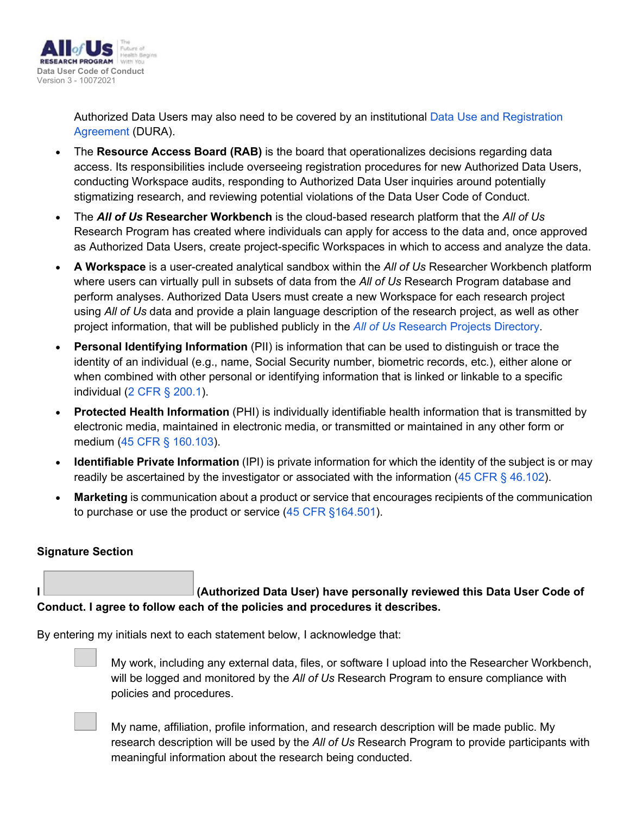

Authorized Data Users may also need to be covered by an institutional [Data Use and Registration](https://www.researchallofus.org/institutional-agreements/) [Agreement](https://www.researchallofus.org/institutional-agreements/) (DURA).

- The **Resource Access Board (RAB)** is the board that operationalizes decisions regarding data access. Its responsibilities include overseeing registration procedures for new Authorized Data Users, conducting Workspace audits, responding to Authorized Data User inquiries around potentially stigmatizing research, and reviewing potential violations of the Data User Code of Conduct.
- The *All of Us* **Researcher Workbench** is the cloud-based research platform that the *All of Us* Research Program has created where individuals can apply for access to the data and, once approved as Authorized Data Users, create project-specific Workspaces in which to access and analyze the data.
- **A Workspace** is a user-created analytical sandbox within the *All of Us* Researcher Workbench platform where users can virtually pull in subsets of data from the *All of Us* Research Program database and perform analyses. Authorized Data Users must create a new Workspace for each research project using *All of Us* data and provide a plain language description of the research project, as well as other project information, that will be published publicly in the *All of Us* [Research Projects Directory.](https://www.researchallofus.org/research-projects-directory/)
- **Personal Identifying Information** (PII) is information that can be used to distinguish or trace the identity of an individual (e.g., name, Social Security number, biometric records, etc.), either alone or when combined with other personal or identifying information that is linked or linkable to a specific individual [\(2 CFR § 200.1\)](https://www.ecfr.gov/current/title-2/subtitle-A/chapter-II/part-200/subpart-A/subject-group-ECFR2a6a0087862fd2c/section-200.1).
- **Protected Health Information** (PHI) is individually identifiable health information that is transmitted by electronic media, maintained in electronic media, or transmitted or maintained in any other form or medium [\(45 CFR § 160.103\)](https://www.ecfr.gov/current/title-45/subtitle-A/subchapter-C/part-160/subpart-A/section-160.103).
- **Identifiable Private Information** (IPI) is private information for which the identity of the subject is or may readily be ascertained by the investigator or associated with the information [\(45 CFR § 46.102\)](https://www.ecfr.gov/on/2018-07-19/title-45/subtitle-A/subchapter-A/part-46/subpart-A/section-46.102).
- **Marketing** is communication about a product or service that encourages recipients of the communication to purchase or use the product or service [\(45 CFR §164.501\)](https://www.ecfr.gov/on/2018-07-19/title-45/subtitle-A/subchapter-C/part-164/subpart-E/section-164.501).

#### **Signature Section**

**I (Authorized Data User) have personally reviewed this Data User Code of Conduct. I agree to follow each of the policies and procedures it describes.**

By entering my initials next to each statement below, I acknowledge that:



My work, including any external data, files, or software I upload into the Researcher Workbench, will be logged and monitored by the *All of Us* Research Program to ensure compliance with policies and procedures.



My name, affiliation, profile information, and research description will be made public. My research description will be used by the *All of Us* Research Program to provide participants with meaningful information about the research being conducted.